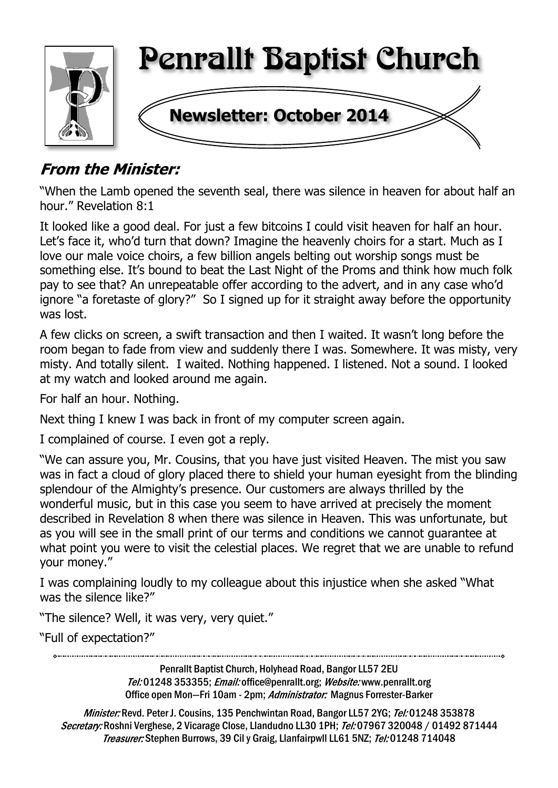

# **From the Minister:**

"When the Lamb opened the seventh seal, there was silence in heaven for about half an hour." Revelation 8:1

It looked like a good deal. For just a few bitcoins I could visit heaven for half an hour. Let's face it, who'd turn that down? Imagine the heavenly choirs for a start. Much as I love our male voice choirs, a few billion angels belting out worship songs must be something else. It's bound to beat the Last Night of the Proms and think how much folk pay to see that? An unrepeatable offer according to the advert, and in any case who'd ignore "a foretaste of glory?" So I signed up for it straight away before the opportunity was lost.

A few clicks on screen, a swift transaction and then I waited. It wasn't long before the room began to fade from view and suddenly there I was. Somewhere. It was misty, very misty. And totally silent. I waited. Nothing happened. I listened. Not a sound. I looked at my watch and looked around me again.

For half an hour. Nothing.

Next thing I knew I was back in front of my computer screen again.

I complained of course. I even got a reply.

"We can assure you, Mr. Cousins, that you have just visited Heaven. The mist you saw was in fact a cloud of glory placed there to shield your human eyesight from the blinding splendour of the Almighty's presence. Our customers are always thrilled by the wonderful music, but in this case you seem to have arrived at precisely the moment described in Revelation 8 when there was silence in Heaven. This was unfortunate, but as you will see in the small print of our terms and conditions we cannot guarantee at what point you were to visit the celestial places. We regret that we are unable to refund your money."

I was complaining loudly to my colleague about this injustice when she asked "What was the silence like?"

"The silence? Well, it was very, very quiet."

"Full of expectation?"

Penrallt Baptist Church, Holyhead Road, Bangor LL57 2EU Tel:01248 353355; Email: office@penrallt.org; Website: www.penrallt.org Office open Mon-Fri 10am - 2pm; Administrator: Magnus Forrester-Barker

Minister: Revd. Peter J. Cousins, 135 Penchwintan Road, Bangor LL57 2YG; Tel: 01248 353878 Secretary: Roshni Verghese, 2 Vicarage Close, Llandudno LL30 1PH; Tel: 07967 320048 / 01492 871444 Treasurer: Stephen Burrows, 39 Cil y Graig, Llanfairpwll LL61 5NZ; Tel: 01248 714048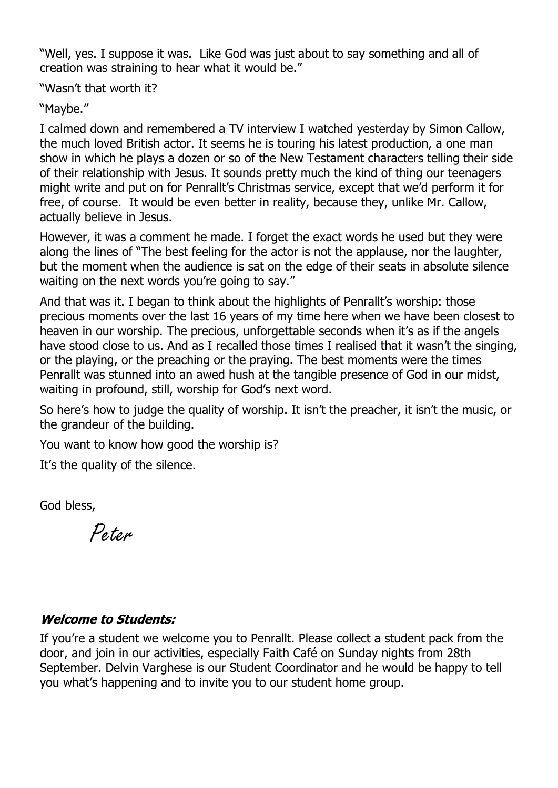"Well, yes. I suppose it was. Like God was just about to say something and all of creation was straining to hear what it would be."

"Wasn't that worth it?

"Maybe."

I calmed down and remembered a TV interview I watched yesterday by Simon Callow, the much loved British actor. It seems he is touring his latest production, a one man show in which he plays a dozen or so of the New Testament characters telling their side of their relationship with Jesus. It sounds pretty much the kind of thing our teenagers might write and put on for Penrallt's Christmas service, except that we'd perform it for free, of course. It would be even better in reality, because they, unlike Mr. Callow, actually believe in Jesus.

However, it was a comment he made. I forget the exact words he used but they were along the lines of "The best feeling for the actor is not the applause, nor the laughter, but the moment when the audience is sat on the edge of their seats in absolute silence waiting on the next words you're going to say."

And that was it. I began to think about the highlights of Penrallt's worship: those precious moments over the last 16 years of my time here when we have been closest to heaven in our worship. The precious, unforgettable seconds when it's as if the angels have stood close to us. And as I recalled those times I realised that it wasn't the singing, or the playing, or the preaching or the praying. The best moments were the times Penrallt was stunned into an awed hush at the tangible presence of God in our midst, waiting in profound, still, worship for God's next word.

So here's how to judge the quality of worship. It isn't the preacher, it isn't the music, or the grandeur of the building.

You want to know how good the worship is?

It's the quality of the silence.

God bless,

Peter

#### **Welcome to Students:**

If you're a student we welcome you to Penrallt. Please collect a student pack from the door, and join in our activities, especially Faith Café on Sunday nights from 28th September. Delvin Varghese is our Student Coordinator and he would be happy to tell you what's happening and to invite you to our student home group.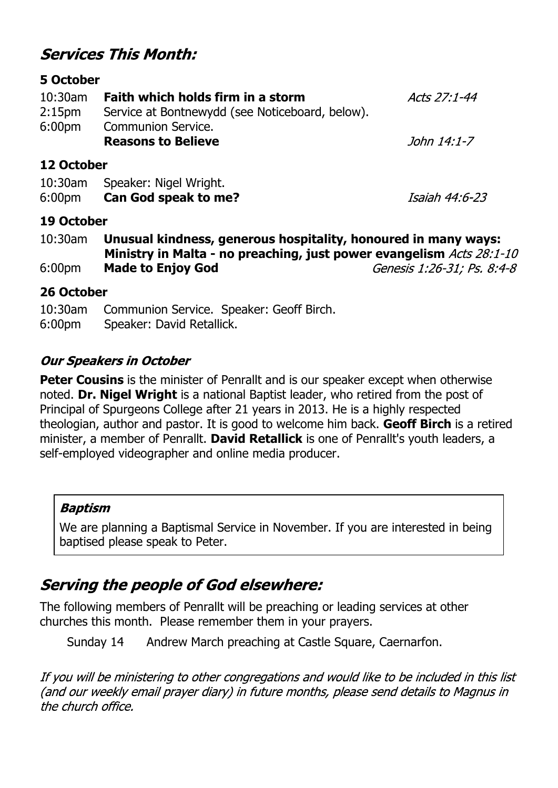# **Services This Month:**

#### **5 October**

| $10:30$ am<br>2:15 <sub>pm</sub> | Faith which holds firm in a storm<br>Service at Bontnewydd (see Noticeboard, below). | <i>Acts 27:1-44</i> |
|----------------------------------|--------------------------------------------------------------------------------------|---------------------|
| 6:00 <sub>pm</sub>               | <b>Communion Service.</b><br><b>Reasons to Believe</b>                               | John 14:1-7         |
| 12 October                       |                                                                                      |                     |

#### 10:30am Speaker: Nigel Wright. 6:00pm **Can God speak to me?**

Isaiah 44:6-23

### **19 October**

| 10:30am            | Unusual kindness, generous hospitality, honoured in many ways: |                                                                      |  |
|--------------------|----------------------------------------------------------------|----------------------------------------------------------------------|--|
|                    |                                                                | Ministry in Malta - no preaching, just power evangelism Acts 28:1-10 |  |
| 6:00 <sub>pm</sub> | <b>Made to Enjoy God</b>                                       | Genesis 1:26-31; Ps. 8:4-8                                           |  |

#### **26 October**

10:30am Communion Service. Speaker: Geoff Birch. 6:00pm Speaker: David Retallick.

### **Our Speakers in October**

**Peter Cousins** is the minister of Penrallt and is our speaker except when otherwise noted. **Dr. Nigel Wright** is a national Baptist leader, who retired from the post of Principal of Spurgeons College after 21 years in 2013. He is a highly respected theologian, author and pastor. It is good to welcome him back. **Geoff Birch** is a retired minister, a member of Penrallt. **David Retallick** is one of Penrallt's youth leaders, a self-employed videographer and online media producer.

#### **Baptism**

We are planning a Baptismal Service in November. If you are interested in being baptised please speak to Peter.

# **Serving the people of God elsewhere:**

The following members of Penrallt will be preaching or leading services at other churches this month. Please remember them in your prayers.

Sunday 14 Andrew March preaching at Castle Square, Caernarfon.

If you will be ministering to other congregations and would like to be included in this list (and our weekly email prayer diary) in future months, please send details to Magnus in the church office.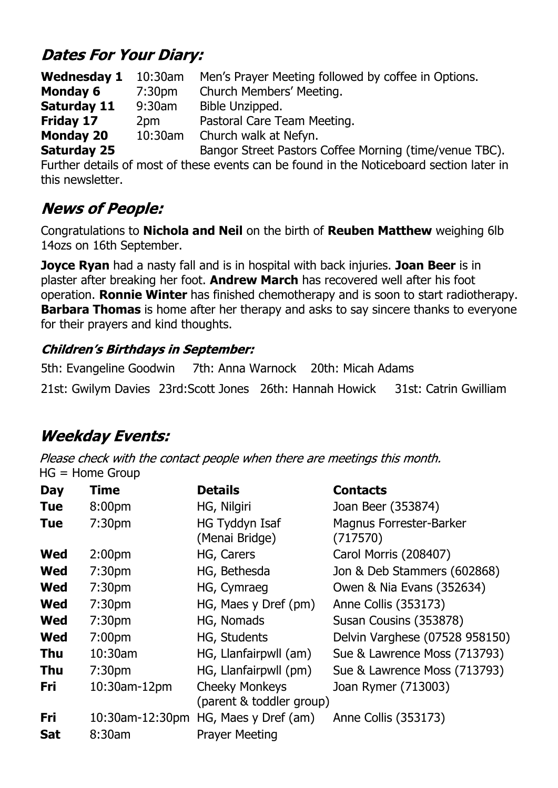# **Dates For Your Diary:**

**Wednesday 1** 10:30am Men's Prayer Meeting followed by coffee in Options. **Monday 6** 7:30pm Church Members' Meeting. **Saturday 11** 9:30am Bible Unzipped. **Friday 17** 2pm Pastoral Care Team Meeting. **Monday 20** 10:30am Church walk at Nefyn. **Saturday 25** Bangor Street Pastors Coffee Morning (time/venue TBC).

Further details of most of these events can be found in the Noticeboard section later in this newsletter.

# **News of People:**

Congratulations to **Nichola and Neil** on the birth of **Reuben Matthew** weighing 6lb 14ozs on 16th September.

**Joyce Ryan** had a nasty fall and is in hospital with back injuries. **Joan Beer** is in plaster after breaking her foot. **Andrew March** has recovered well after his foot operation. **Ronnie Winter** has finished chemotherapy and is soon to start radiotherapy. **Barbara Thomas** is home after her therapy and asks to say sincere thanks to everyone for their prayers and kind thoughts.

### **Children's Birthdays in September:**

5th: Evangeline Goodwin 7th: Anna Warnock 20th: Micah Adams 21st: Gwilym Davies 23rd:Scott Jones 26th: Hannah Howick 31st: Catrin Gwilliam

# **Weekday Events:**

Please check with the contact people when there are meetings this month. HG = Home Group

| <b>Day</b> | Time               | <b>Details</b>                                    | <b>Contacts</b>                     |
|------------|--------------------|---------------------------------------------------|-------------------------------------|
| <b>Tue</b> | 8:00 <sub>pm</sub> | HG, Nilgiri                                       | Joan Beer (353874)                  |
| Tue        | 7:30 <sub>pm</sub> | HG Tyddyn Isaf<br>(Menai Bridge)                  | Magnus Forrester-Barker<br>(717570) |
| <b>Wed</b> | 2:00 <sub>pm</sub> | HG, Carers                                        | Carol Morris (208407)               |
| <b>Wed</b> | 7:30 <sub>pm</sub> | HG, Bethesda                                      | Jon & Deb Stammers (602868)         |
| <b>Wed</b> | 7:30 <sub>pm</sub> | HG, Cymraeg                                       | Owen & Nia Evans (352634)           |
| <b>Wed</b> | 7:30 <sub>pm</sub> | HG, Maes y Dref (pm)                              | Anne Collis (353173)                |
| <b>Wed</b> | 7:30 <sub>pm</sub> | HG, Nomads                                        | Susan Cousins (353878)              |
| <b>Wed</b> | 7:00 <sub>pm</sub> | HG, Students                                      | Delvin Varghese (07528 958150)      |
| <b>Thu</b> | 10:30am            | HG, Llanfairpwll (am)                             | Sue & Lawrence Moss (713793)        |
| <b>Thu</b> | 7:30 <sub>pm</sub> | HG, Llanfairpwll (pm)                             | Sue & Lawrence Moss (713793)        |
| Fri        | 10:30am-12pm       | <b>Cheeky Monkeys</b><br>(parent & toddler group) | Joan Rymer (713003)                 |
| Fri        | 10:30am-12:30pm    | HG, Maes y Dref (am)                              | Anne Collis (353173)                |
| <b>Sat</b> | 8:30am             | <b>Prayer Meeting</b>                             |                                     |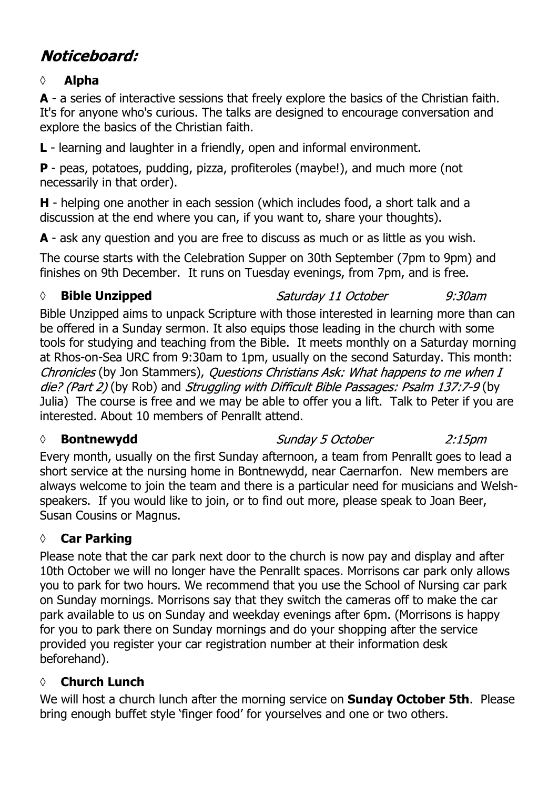# Noticeboard:

#### **◊ Alpha**

**A** - a series of interactive sessions that freely explore the basics of the Christian faith. It's for anyone who's curious. The talks are designed to encourage conversation and explore the basics of the Christian faith.

**L** - learning and laughter in a friendly, open and informal environment.

**P** - peas, potatoes, pudding, pizza, profiteroles (maybe!), and much more (not necessarily in that order).

**H** - helping one another in each session (which includes food, a short talk and a discussion at the end where you can, if you want to, share your thoughts).

**A** - ask any question and you are free to discuss as much or as little as you wish.

The course starts with the Celebration Supper on 30th September (7pm to 9pm) and finishes on 9th December. It runs on Tuesday evenings, from 7pm, and is free.

#### **◊ Bible Unzipped**

Saturday 11 October  $9:30$ am

Bible Unzipped aims to unpack Scripture with those interested in learning more than can be offered in a Sunday sermon. It also equips those leading in the church with some tools for studying and teaching from the Bible. It meets monthly on a Saturday morning at Rhos-on-Sea URC from 9:30am to 1pm, usually on the second Saturday. This month: Chronicles (by Jon Stammers), Questions Christians Ask: What happens to me when I die? (Part 2) (by Rob) and *Struggling with Difficult Bible Passages: Psalm 137:7-9* (by Julia) The course is free and we may be able to offer you a lift. Talk to Peter if you are interested. About 10 members of Penrallt attend.

#### *◊* **Bontnewydd**

Sunday 5 October  $2:15$ pm

Every month, usually on the first Sunday afternoon, a team from Penrallt goes to lead a short service at the nursing home in Bontnewydd, near Caernarfon. New members are always welcome to join the team and there is a particular need for musicians and Welshspeakers. If you would like to join, or to find out more, please speak to Joan Beer, Susan Cousins or Magnus.

### **◊ Car Parking**

Please note that the car park next door to the church is now pay and display and after 10th October we will no longer have the Penrallt spaces. Morrisons car park only allows you to park for two hours. We recommend that you use the School of Nursing car park on Sunday mornings. Morrisons say that they switch the cameras off to make the car park available to us on Sunday and weekday evenings after 6pm. (Morrisons is happy for you to park there on Sunday mornings and do your shopping after the service provided you register your car registration number at their information desk beforehand).

### **◊ Church Lunch**

We will host a church lunch after the morning service on **Sunday October 5th**. Please bring enough buffet style 'finger food' for yourselves and one or two others.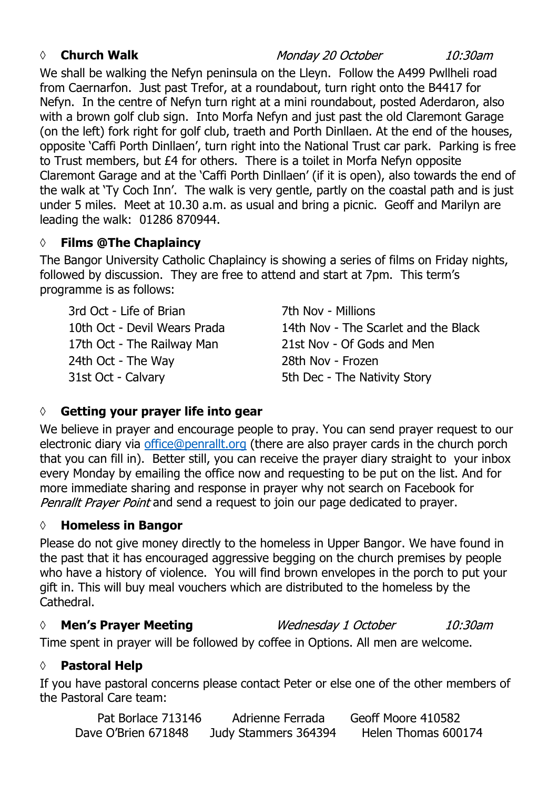#### *◊* **Church Walk**

Monday 20 October

10:30am

We shall be walking the Nefyn peninsula on the Lleyn. Follow the A499 Pwllheli road from Caernarfon. Just past Trefor, at a roundabout, turn right onto the B4417 for Nefyn. In the centre of Nefyn turn right at a mini roundabout, posted Aderdaron, also with a brown golf club sign. Into Morfa Nefyn and just past the old Claremont Garage (on the left) fork right for golf club, traeth and Porth Dinllaen. At the end of the houses, opposite 'Caffi Porth Dinllaen', turn right into the National Trust car park. Parking is free to Trust members, but £4 for others. There is a toilet in Morfa Nefyn opposite Claremont Garage and at the 'Caffi Porth Dinllaen' (if it is open), also towards the end of the walk at 'Ty Coch Inn'. The walk is very gentle, partly on the coastal path and is just under 5 miles. Meet at 10.30 a.m. as usual and bring a picnic. Geoff and Marilyn are leading the walk: 01286 870944.

### **◊ Films @The Chaplaincy**

The Bangor University Catholic Chaplaincy is showing a series of films on Friday nights, followed by discussion. They are free to attend and start at 7pm. This term's programme is as follows:

3rd Oct - Life of Brian 7th Nov - Millions 24th Oct - The Way 28th Nov - Frozen 31st Oct - Calvary 6th Dec - The Nativity Story

10th Oct - Devil Wears Prada 14th Nov - The Scarlet and the Black 17th Oct - The Railway Man 21st Nov - Of Gods and Men

## **◊ Getting your prayer life into gear**

We believe in prayer and encourage people to pray. You can send prayer request to our electronic diary via office@penrallt.org (there are also prayer cards in the church porch that you can fill in). Better still, you can receive the prayer diary straight to your inbox every Monday by emailing the office now and requesting to be put on the list. And for more immediate sharing and response in prayer why not search on Facebook for Penrallt Prayer Point and send a request to join our page dedicated to prayer.

### **◊ Homeless in Bangor**

Please do not give money directly to the homeless in Upper Bangor. We have found in the past that it has encouraged aggressive begging on the church premises by people who have a history of violence. You will find brown envelopes in the porch to put your gift in. This will buy meal vouchers which are distributed to the homeless by the Cathedral.

### *◊* **Men's Prayer Meeting**

Wednesday 1 October  $10:30$ am Time spent in prayer will be followed by coffee in Options. All men are welcome.

#### **◊ Pastoral Help**

If you have pastoral concerns please contact Peter or else one of the other members of the Pastoral Care team:

| Pat Borlace 713146  | Adrienne Ferrada     | Geoff Moore 410582  |
|---------------------|----------------------|---------------------|
| Dave O'Brien 671848 | Judy Stammers 364394 | Helen Thomas 600174 |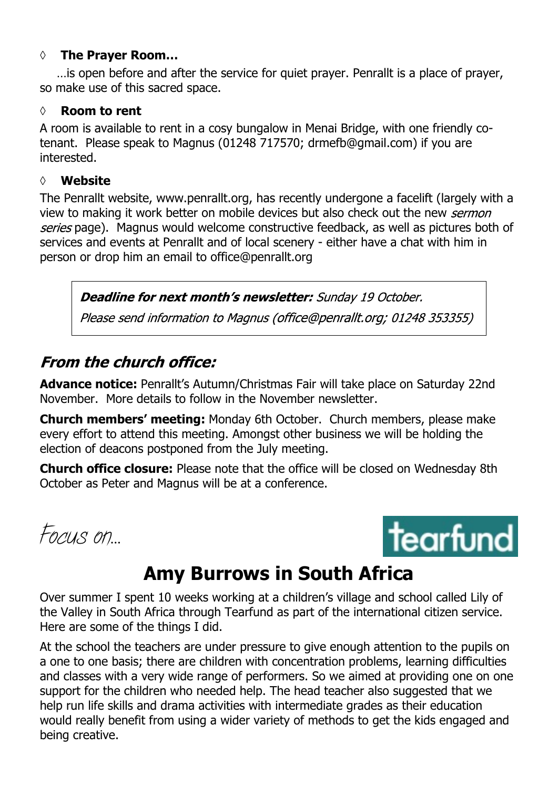#### **◊ The Prayer Room…**

…is open before and after the service for quiet prayer. Penrallt is a place of prayer, so make use of this sacred space.

#### **◊ Room to rent**

A room is available to rent in a cosy bungalow in Menai Bridge, with one friendly cotenant. Please speak to Magnus (01248 717570; drmefb@gmail.com) if you are interested.

#### **◊ Website**

The Penrallt website, www.penrallt.org, has recently undergone a facelift (largely with a view to making it work better on mobile devices but also check out the new sermon series page). Magnus would welcome constructive feedback, as well as pictures both of services and events at Penrallt and of local scenery - either have a chat with him in person or drop him an email to office@penrallt.org

Deadline for next month's newsletter: Sunday 19 October.

Please send information to Magnus (office@penrallt.org; 01248 353355)

# **From the church office:**

**Advance notice:** Penrallt's Autumn/Christmas Fair will take place on Saturday 22nd November. More details to follow in the November newsletter.

**Church members' meeting:** Monday 6th October. Church members, please make every effort to attend this meeting. Amongst other business we will be holding the election of deacons postponed from the July meeting.

**Church office closure:** Please note that the office will be closed on Wednesday 8th October as Peter and Magnus will be at a conference.

*Focus on…*



# **Amy Burrows in South Africa**

Over summer I spent 10 weeks working at a children's village and school called Lily of the Valley in South Africa through Tearfund as part of the international citizen service. Here are some of the things I did.

At the school the teachers are under pressure to give enough attention to the pupils on a one to one basis; there are children with concentration problems, learning difficulties and classes with a very wide range of performers. So we aimed at providing one on one support for the children who needed help. The head teacher also suggested that we help run life skills and drama activities with intermediate grades as their education would really benefit from using a wider variety of methods to get the kids engaged and being creative.